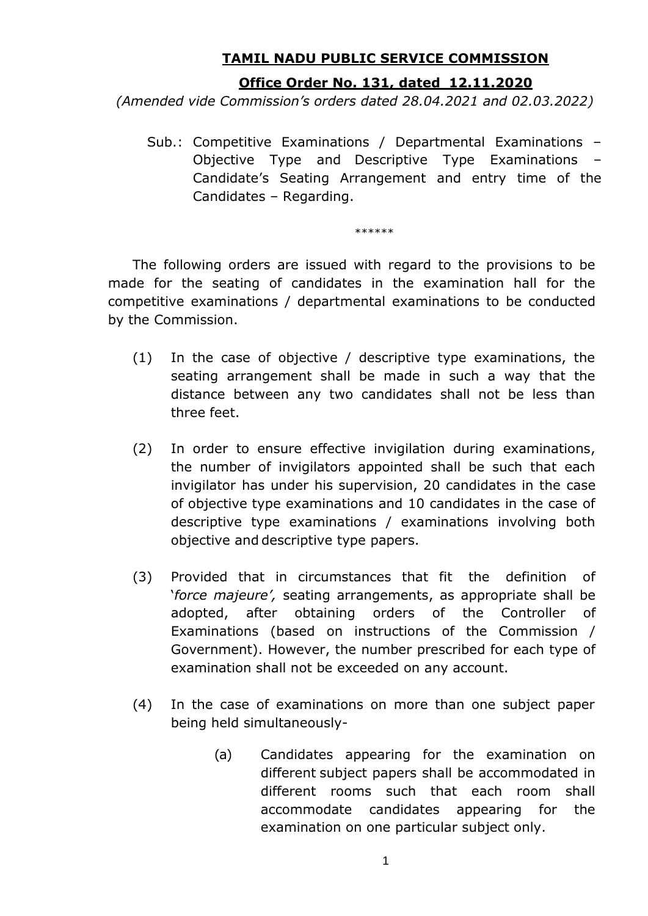## **TAMIL NADU PUBLIC SERVICE COMMISSION**

## **Office Order No. 131, dated 12.11.2020**

*(Amended vide Commission's orders dated 28.04.2021 and 02.03.2022)*

Sub.: Competitive Examinations / Departmental Examinations – Objective Type and Descriptive Type Examinations – Candidate's Seating Arrangement and entry time of the Candidates – Regarding.

\*\*\*\*\*\*

The following orders are issued with regard to the provisions to be made for the seating of candidates in the examination hall for the competitive examinations / departmental examinations to be conducted by the Commission.

- (1) In the case of objective / descriptive type examinations, the seating arrangement shall be made in such a way that the distance between any two candidates shall not be less than three feet.
- (2) In order to ensure effective invigilation during examinations, the number of invigilators appointed shall be such that each invigilator has under his supervision, 20 candidates in the case of objective type examinations and 10 candidates in the case of descriptive type examinations / examinations involving both objective and descriptive type papers.
- (3) Provided that in circumstances that fit the definition of '*force majeure',* seating arrangements, as appropriate shall be adopted, after obtaining orders of the Controller of Examinations (based on instructions of the Commission / Government). However, the number prescribed for each type of examination shall not be exceeded on any account.
- (4) In the case of examinations on more than one subject paper being held simultaneously-
	- (a) Candidates appearing for the examination on different subject papers shall be accommodated in different rooms such that each room shall accommodate candidates appearing for the examination on one particular subject only.